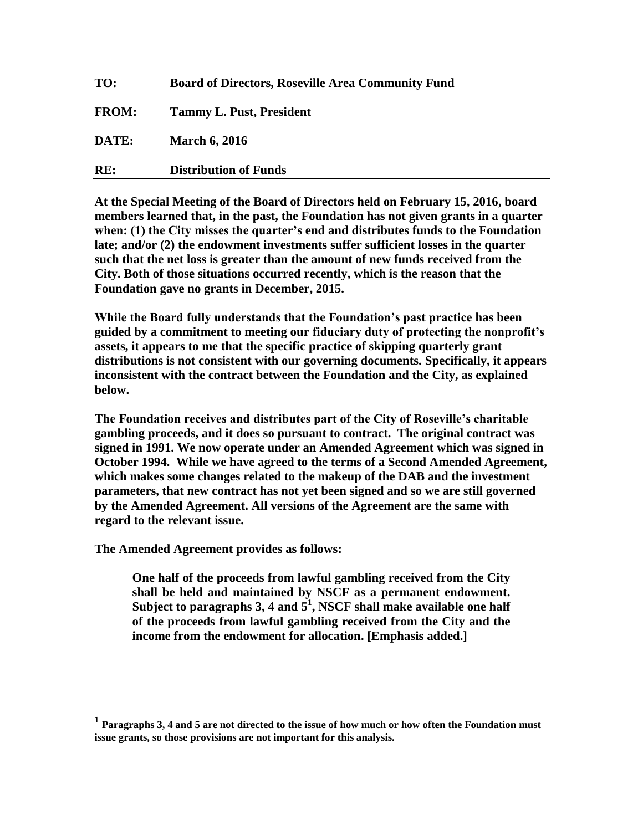| RE:          | <b>Distribution of Funds</b>                             |
|--------------|----------------------------------------------------------|
| DATE:        | <b>March 6, 2016</b>                                     |
| <b>FROM:</b> | <b>Tammy L. Pust, President</b>                          |
| TO:          | <b>Board of Directors, Roseville Area Community Fund</b> |

**At the Special Meeting of the Board of Directors held on February 15, 2016, board members learned that, in the past, the Foundation has not given grants in a quarter when: (1) the City misses the quarter's end and distributes funds to the Foundation late; and/or (2) the endowment investments suffer sufficient losses in the quarter such that the net loss is greater than the amount of new funds received from the City. Both of those situations occurred recently, which is the reason that the Foundation gave no grants in December, 2015.**

**While the Board fully understands that the Foundation's past practice has been guided by a commitment to meeting our fiduciary duty of protecting the nonprofit's assets, it appears to me that the specific practice of skipping quarterly grant distributions is not consistent with our governing documents. Specifically, it appears inconsistent with the contract between the Foundation and the City, as explained below.**

**The Foundation receives and distributes part of the City of Roseville's charitable gambling proceeds, and it does so pursuant to contract. The original contract was signed in 1991. We now operate under an Amended Agreement which was signed in October 1994. While we have agreed to the terms of a Second Amended Agreement, which makes some changes related to the makeup of the DAB and the investment parameters, that new contract has not yet been signed and so we are still governed by the Amended Agreement. All versions of the Agreement are the same with regard to the relevant issue.**

**The Amended Agreement provides as follows:**

**One half of the proceeds from lawful gambling received from the City shall be held and maintained by NSCF as a permanent endowment. Subject to paragraphs 3, 4 and 5<sup>1</sup> , NSCF shall make available one half of the proceeds from lawful gambling received from the City and the income from the endowment for allocation. [Emphasis added.]**

**<sup>1</sup> Paragraphs 3, 4 and 5 are not directed to the issue of how much or how often the Foundation must issue grants, so those provisions are not important for this analysis.**